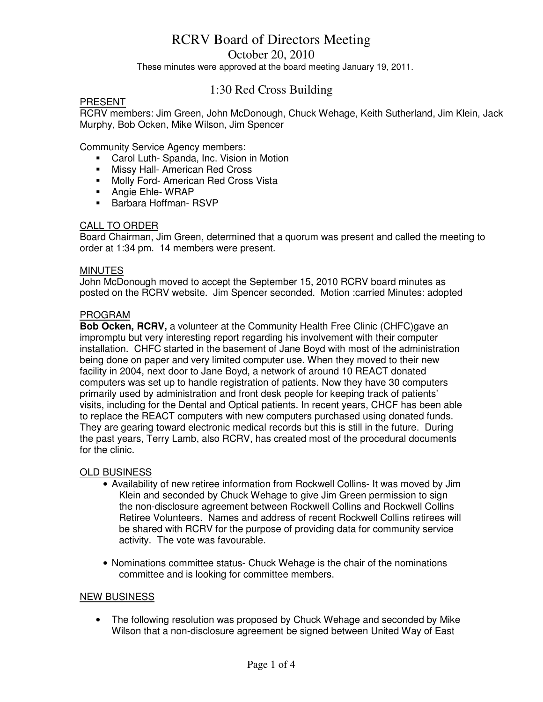# RCRV Board of Directors Meeting

October 20, 2010

These minutes were approved at the board meeting January 19, 2011.

# 1:30 Red Cross Building

## PRESENT

RCRV members: Jim Green, John McDonough, Chuck Wehage, Keith Sutherland, Jim Klein, Jack Murphy, Bob Ocken, Mike Wilson, Jim Spencer

Community Service Agency members:

- Carol Luth- Spanda, Inc. Vision in Motion
- **Missy Hall- American Red Cross**
- **Molly Ford- American Red Cross Vista**
- **-** Angie Ehle- WRAP
- **Barbara Hoffman- RSVP**

#### CALL TO ORDER

Board Chairman, Jim Green, determined that a quorum was present and called the meeting to order at 1:34 pm. 14 members were present.

#### **MINUTES**

John McDonough moved to accept the September 15, 2010 RCRV board minutes as posted on the RCRV website. Jim Spencer seconded. Motion :carried Minutes: adopted

#### PROGRAM

**Bob Ocken, RCRV,** a volunteer at the Community Health Free Clinic (CHFC)gave an impromptu but very interesting report regarding his involvement with their computer installation. CHFC started in the basement of Jane Boyd with most of the administration being done on paper and very limited computer use. When they moved to their new facility in 2004, next door to Jane Boyd, a network of around 10 REACT donated computers was set up to handle registration of patients. Now they have 30 computers primarily used by administration and front desk people for keeping track of patients' visits, including for the Dental and Optical patients. In recent years, CHCF has been able to replace the REACT computers with new computers purchased using donated funds. They are gearing toward electronic medical records but this is still in the future. During the past years, Terry Lamb, also RCRV, has created most of the procedural documents for the clinic.

#### OLD BUSINESS

- Availability of new retiree information from Rockwell Collins- It was moved by Jim Klein and seconded by Chuck Wehage to give Jim Green permission to sign the non-disclosure agreement between Rockwell Collins and Rockwell Collins Retiree Volunteers. Names and address of recent Rockwell Collins retirees will be shared with RCRV for the purpose of providing data for community service activity. The vote was favourable.
- Nominations committee status- Chuck Wehage is the chair of the nominations committee and is looking for committee members.

#### NEW BUSINESS

• The following resolution was proposed by Chuck Wehage and seconded by Mike Wilson that a non-disclosure agreement be signed between United Way of East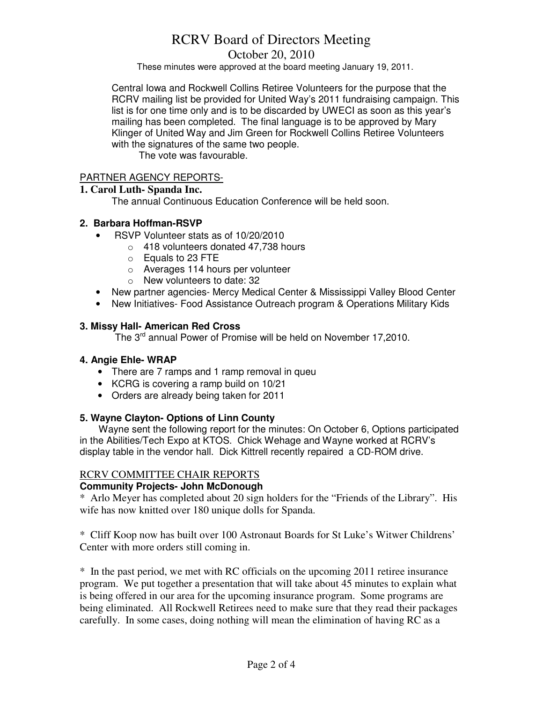# RCRV Board of Directors Meeting

October 20, 2010

These minutes were approved at the board meeting January 19, 2011.

Central Iowa and Rockwell Collins Retiree Volunteers for the purpose that the RCRV mailing list be provided for United Way's 2011 fundraising campaign. This list is for one time only and is to be discarded by UWECI as soon as this year's mailing has been completed. The final language is to be approved by Mary Klinger of United Way and Jim Green for Rockwell Collins Retiree Volunteers with the signatures of the same two people.

The vote was favourable.

## PARTNER AGENCY REPORTS-

#### **1. Carol Luth- Spanda Inc.**

The annual Continuous Education Conference will be held soon.

#### **2. Barbara Hoffman-RSVP**

- RSVP Volunteer stats as of 10/20/2010
	- o 418 volunteers donated 47,738 hours
	- o Equals to 23 FTE
	- o Averages 114 hours per volunteer
	- o New volunteers to date: 32
- New partner agencies- Mercy Medical Center & Mississippi Valley Blood Center
- New Initiatives- Food Assistance Outreach program & Operations Military Kids

## **3. Missy Hall- American Red Cross**

The  $3<sup>rd</sup>$  annual Power of Promise will be held on November 17,2010.

#### **4. Angie Ehle- WRAP**

- There are 7 ramps and 1 ramp removal in queu
- KCRG is covering a ramp build on 10/21
- Orders are already being taken for 2011

## **5. Wayne Clayton- Options of Linn County**

 Wayne sent the following report for the minutes: On October 6, Options participated in the Abilities/Tech Expo at KTOS. Chick Wehage and Wayne worked at RCRV's display table in the vendor hall. Dick Kittrell recently repaired a CD-ROM drive.

## RCRV COMMITTEE CHAIR REPORTS

#### **Community Projects- John McDonough**

\* Arlo Meyer has completed about 20 sign holders for the "Friends of the Library". His wife has now knitted over 180 unique dolls for Spanda.

\* Cliff Koop now has built over 100 Astronaut Boards for St Luke's Witwer Childrens' Center with more orders still coming in.

\* In the past period, we met with RC officials on the upcoming 2011 retiree insurance program. We put together a presentation that will take about 45 minutes to explain what is being offered in our area for the upcoming insurance program. Some programs are being eliminated. All Rockwell Retirees need to make sure that they read their packages carefully. In some cases, doing nothing will mean the elimination of having RC as a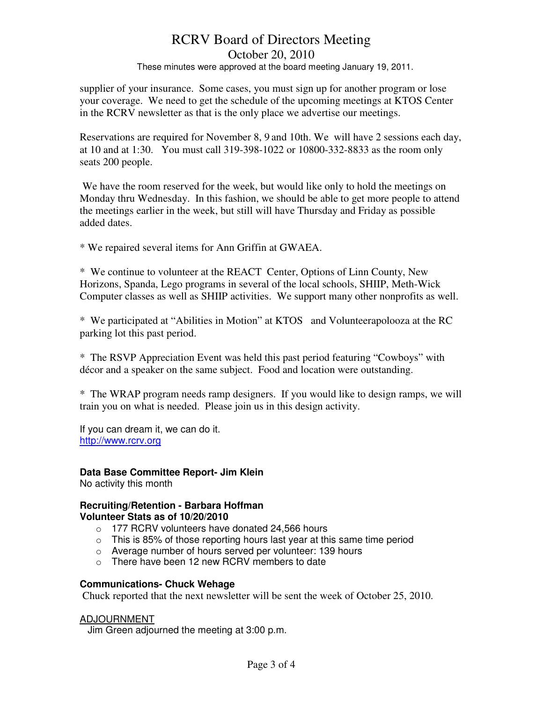# RCRV Board of Directors Meeting October 20, 2010

These minutes were approved at the board meeting January 19, 2011.

supplier of your insurance. Some cases, you must sign up for another program or lose your coverage. We need to get the schedule of the upcoming meetings at KTOS Center in the RCRV newsletter as that is the only place we advertise our meetings.

Reservations are required for November 8, 9 and 10th. We will have 2 sessions each day, at 10 and at 1:30. You must call 319-398-1022 or 10800-332-8833 as the room only seats 200 people.

 We have the room reserved for the week, but would like only to hold the meetings on Monday thru Wednesday. In this fashion, we should be able to get more people to attend the meetings earlier in the week, but still will have Thursday and Friday as possible added dates.

\* We repaired several items for Ann Griffin at GWAEA.

\* We continue to volunteer at the REACT Center, Options of Linn County, New Horizons, Spanda, Lego programs in several of the local schools, SHIIP, Meth-Wick Computer classes as well as SHIIP activities. We support many other nonprofits as well.

\* We participated at "Abilities in Motion" at KTOS and Volunteerapolooza at the RC parking lot this past period.

\* The RSVP Appreciation Event was held this past period featuring "Cowboys" with décor and a speaker on the same subject. Food and location were outstanding.

\* The WRAP program needs ramp designers. If you would like to design ramps, we will train you on what is needed. Please join us in this design activity.

If you can dream it, we can do it. http://www.rcrv.org

## **Data Base Committee Report- Jim Klein**

No activity this month

#### **Recruiting/Retention - Barbara Hoffman Volunteer Stats as of 10/20/2010**

- o 177 RCRV volunteers have donated 24,566 hours
- $\circ$  This is 85% of those reporting hours last year at this same time period
- o Average number of hours served per volunteer: 139 hours
- o There have been 12 new RCRV members to date

# **Communications- Chuck Wehage**

Chuck reported that the next newsletter will be sent the week of October 25, 2010.

#### ADJOURNMENT

Jim Green adjourned the meeting at 3:00 p.m.